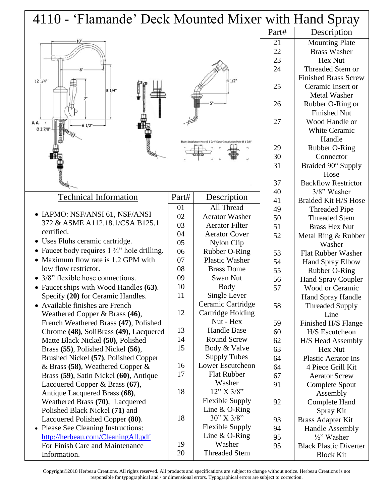| 4110 - 'Flamande' Deck Mounted Mixer with Hand Spray              |          |                                           |       |                               |
|-------------------------------------------------------------------|----------|-------------------------------------------|-------|-------------------------------|
|                                                                   |          |                                           | Part# | Description                   |
|                                                                   |          |                                           | 21    | <b>Mounting Plate</b>         |
|                                                                   |          |                                           | 22    | <b>Brass Washer</b>           |
|                                                                   |          |                                           | 23    | Hex Nut                       |
|                                                                   |          |                                           | 24    | Threaded Stem or              |
| $12 \frac{1}{4}$                                                  |          | $41/2$ <sup>*</sup>                       |       | <b>Finished Brass Screw</b>   |
| $81/4$ "                                                          |          |                                           | 25    | Ceramic Insert or             |
|                                                                   |          |                                           |       | <b>Metal Washer</b>           |
|                                                                   |          |                                           | 26    | Rubber O-Ring or              |
|                                                                   |          |                                           |       | <b>Finished Nut</b>           |
| $A - A \longrightarrow$<br>$61/2$ <sup>*</sup>                    |          |                                           | 27    | Wood Handle or                |
| $027/8$ <sup>*</sup>                                              |          |                                           |       | <b>White Ceramic</b>          |
|                                                                   |          |                                           |       | Handle                        |
|                                                                   |          |                                           | 29    | Rubber O-Ring                 |
|                                                                   |          |                                           | 30    | Connector                     |
|                                                                   |          |                                           | 31    | Braided 90° Supply            |
|                                                                   |          |                                           |       | Hose                          |
|                                                                   |          |                                           | 37    | <b>Backflow Restrictor</b>    |
|                                                                   |          |                                           | 40    | 3/8" Washer                   |
| <b>Technical Information</b>                                      | Part#    | Description                               | 41    | <b>Braided Kit H/S Hose</b>   |
|                                                                   | 01       | All Thread                                | 49    | <b>Threaded Pipe</b>          |
| • IAPMO: NSF/ANSI 61, NSF/ANSI<br>372 & ASME A112.18.1/CSA B125.1 | 02       | <b>Aerator Washer</b>                     | 50    | <b>Threaded Stem</b>          |
| certified.                                                        | 03       | <b>Aerator Filter</b>                     | 51    | <b>Brass Hex Nut</b>          |
|                                                                   | 04       | <b>Aerator Cover</b>                      | 52    | Metal Ring & Rubber           |
| • Uses Flühs ceramic cartridge.                                   | 05       | Nylon Clip                                |       | Washer                        |
| • Faucet body requires $1\frac{3}{4}$ hole drilling.              | 06       | Rubber O-Ring                             | 53    | <b>Flat Rubber Washer</b>     |
| • Maximum flow rate is 1.2 GPM with                               | 07       | <b>Plastic Washer</b>                     | 54    | <b>Hand Spray Elbow</b>       |
| low flow restrictor.                                              | 08       | <b>Brass Dome</b>                         | 55    | Rubber O-Ring                 |
| • 3/8" flexible hose connections.                                 | 09       | Swan Nut                                  | 56    | Hand Spray Coupler            |
| • Faucet ships with Wood Handles (63).                            | 10       | <b>Body</b>                               | 57    | Wood or Ceramic               |
| Specify (20) for Ceramic Handles.                                 | 11       | Single Lever                              |       | Hand Spray Handle             |
| Available finishes are French                                     |          | Ceramic Cartridge                         | 58    | <b>Threaded Supply</b>        |
| Weathered Copper & Brass (46),                                    | 12       | Cartridge Holding                         |       | Line                          |
| French Weathered Brass (47), Polished                             |          | Nut - Hex                                 | 59    | Finished H/S Flange           |
| Chrome (48), SoliBrass (49), Lacquered                            | 13       | <b>Handle Base</b>                        | 60    | H/S Escutcheon                |
| Matte Black Nickel (50), Polished                                 | 14<br>15 | <b>Round Screw</b>                        | 62    | H/S Head Assembly             |
| Brass (55), Polished Nickel (56),                                 |          | Body & Valve                              | 63    | Hex Nut                       |
| Brushed Nickel (57), Polished Copper                              | 16       | <b>Supply Tubes</b><br>Lower Escutcheon   | 64    | <b>Plastic Aerator Ins</b>    |
| & Brass (58), Weathered Copper $\&$                               | 17       | <b>Flat Rubber</b>                        | 64    | 4 Piece Grill Kit             |
| Brass (59), Satin Nickel (60), Antique                            |          | Washer                                    | 67    | <b>Aerator Screw</b>          |
| Lacquered Copper & Brass (67),                                    | 18       | 12" X 3/8"                                | 91    | Complete Spout                |
| Antique Lacquered Brass (68),                                     |          |                                           |       | Assembly                      |
| Weathered Brass (70), Lacquered                                   |          | <b>Flexible Supply</b><br>Line $& O-Ring$ | 92    | <b>Complete Hand</b>          |
| Polished Black Nickel (71) and                                    | 18       | 30" X 3/8"                                |       | Spray Kit                     |
| Lacquered Polished Copper (80).                                   |          | <b>Flexible Supply</b>                    | 93    | Brass Adapter Kit             |
| • Please See Cleaning Instructions:                               |          | Line $& O-Ring$                           | 94    | <b>Handle Assembly</b>        |
| http://herbeau.com/CleaningAll.pdf                                | 19       | Washer                                    | 95    | 1/2" Washer                   |
| For Finish Care and Maintenance<br>Information.                   | 20       | <b>Threaded Stem</b>                      | 95    | <b>Black Plastic Diverter</b> |
|                                                                   |          |                                           |       | <b>Block Kit</b>              |

Copyright©2018 Herbeau Creations. All rights reserved. All products and specifications are subject to change without notice. Herbeau Creations is not responsible for typographical and / or dimensional errors. Typographical errors are subject to correction.

I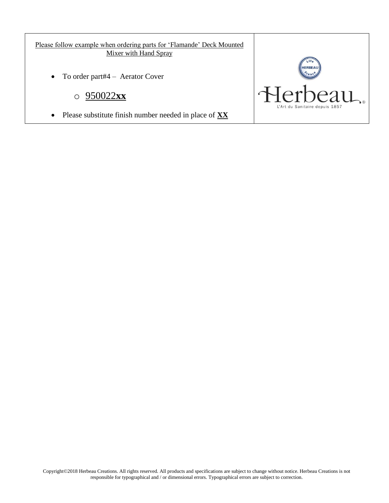Please follow example when ordering parts for 'Flamande' Deck Mounted Mixer with Hand Spray

• To order part#4 – Aerator Cover

o 950022**xx**

Please substitute finish number needed in place of **XX**

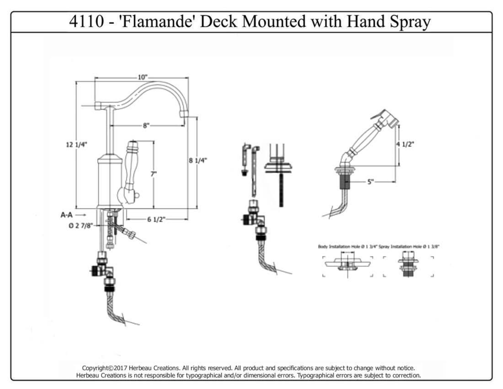